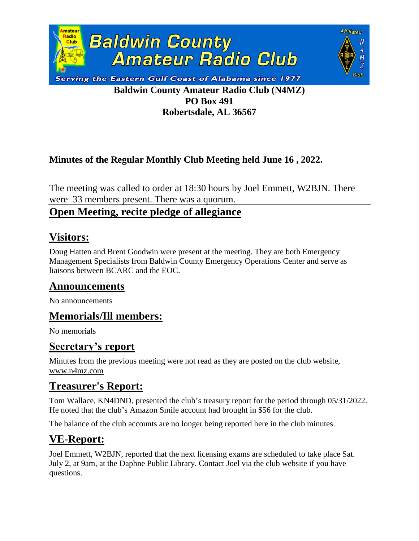

**Robertsdale, AL 36567**

Affliated

 $\overline{N}$ 4

#### **Minutes of the Regular Monthly Club Meeting held June 16 , 2022.**

The meeting was called to order at 18:30 hours by Joel Emmett, W2BJN. There were 33 members present. There was a quorum.

#### **Open Meeting, recite pledge of allegiance**

## **Visitors:**

Doug Hatten and Brent Goodwin were present at the meeting. They are both Emergency Management Specialists from Baldwin County Emergency Operations Center and serve as liaisons between BCARC and the EOC.

### **Announcements**

No announcements

### **Memorials/Ill members:**

No memorials

### **Secretary's report**

Minutes from the previous meeting were not read as they are posted on the club website, [www.n4mz.com](http://www.n4mz.com/)

### **Treasurer's Report:**

Tom Wallace, KN4DND, presented the club's treasury report for the period through 05/31/2022. He noted that the club's Amazon Smile account had brought in \$56 for the club.

The balance of the club accounts are no longer being reported here in the club minutes.

# **VE-Report:**

Joel Emmett, W2BJN, reported that the next licensing exams are scheduled to take place Sat. July 2, at 9am, at the Daphne Public Library. Contact Joel via the club website if you have questions.